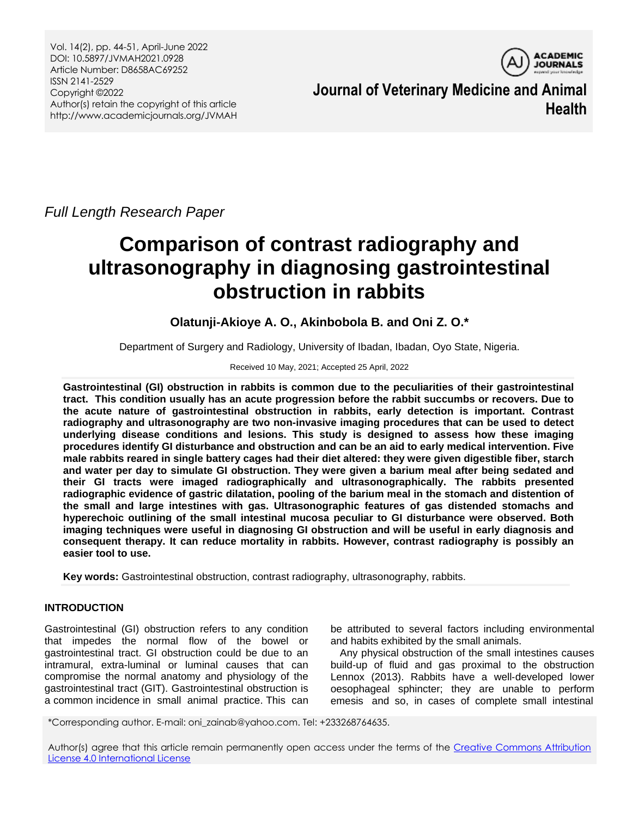Vol. 14(2), pp. 44-51, April-June 2022 DOI: 10.5897/JVMAH2021.0928 Article Number: D8658AC69252 ISSN 2141-2529 Copyright ©2022 Author(s) retain the copyright of this article http://www.academicjournals.org/JVMAH



**Journal of Veterinary Medicine and Animal Health**

*Full Length Research Paper*

# **Comparison of contrast radiography and ultrasonography in diagnosing gastrointestinal obstruction in rabbits**

**Olatunji-Akioye A. O., Akinbobola B. and Oni Z. O.\***

Department of Surgery and Radiology, University of Ibadan, Ibadan, Oyo State, Nigeria.

Received 10 May, 2021; Accepted 25 April, 2022

**Gastrointestinal (GI) obstruction in rabbits is common due to the peculiarities of their gastrointestinal tract. This condition usually has an acute progression before the rabbit succumbs or recovers. Due to the acute nature of gastrointestinal obstruction in rabbits, early detection is important. Contrast radiography and ultrasonography are two non-invasive imaging procedures that can be used to detect underlying disease conditions and lesions. This study is designed to assess how these imaging procedures identify GI disturbance and obstruction and can be an aid to early medical intervention. Five male rabbits reared in single battery cages had their diet altered: they were given digestible fiber, starch and water per day to simulate GI obstruction. They were given a barium meal after being sedated and their GI tracts were imaged radiographically and ultrasonographically. The rabbits presented radiographic evidence of gastric dilatation, pooling of the barium meal in the stomach and distention of the small and large intestines with gas. Ultrasonographic features of gas distended stomachs and hyperechoic outlining of the small intestinal mucosa peculiar to GI disturbance were observed. Both imaging techniques were useful in diagnosing GI obstruction and will be useful in early diagnosis and consequent therapy. It can reduce mortality in rabbits. However, contrast radiography is possibly an easier tool to use.**

**Key words:** Gastrointestinal obstruction, contrast radiography, ultrasonography, rabbits.

# **INTRODUCTION**

Gastrointestinal (GI) obstruction refers to any condition that impedes the normal flow of the bowel or gastrointestinal tract. GI obstruction could be due to an intramural, extra-luminal or luminal causes that can compromise the normal anatomy and physiology of the gastrointestinal tract (GIT). Gastrointestinal obstruction is a common incidence in small animal practice. This can be attributed to several factors including environmental and habits exhibited by the small animals.

Any physical obstruction of the small intestines causes build‐up of fluid and gas proximal to the obstruction Lennox (2013). Rabbits have a well-developed lower oesophageal sphincter; they are unable to perform emesis and so, in cases of complete small intestinal

\*Corresponding author. E-mail: oni\_zainab@yahoo.com. Tel: +233268764635.

Author(s) agree that this article remain permanently open access under the terms of the Creative Commons Attribution [License 4.0 International License](http://creativecommons.org/licenses/by/4.0/deed.en_US)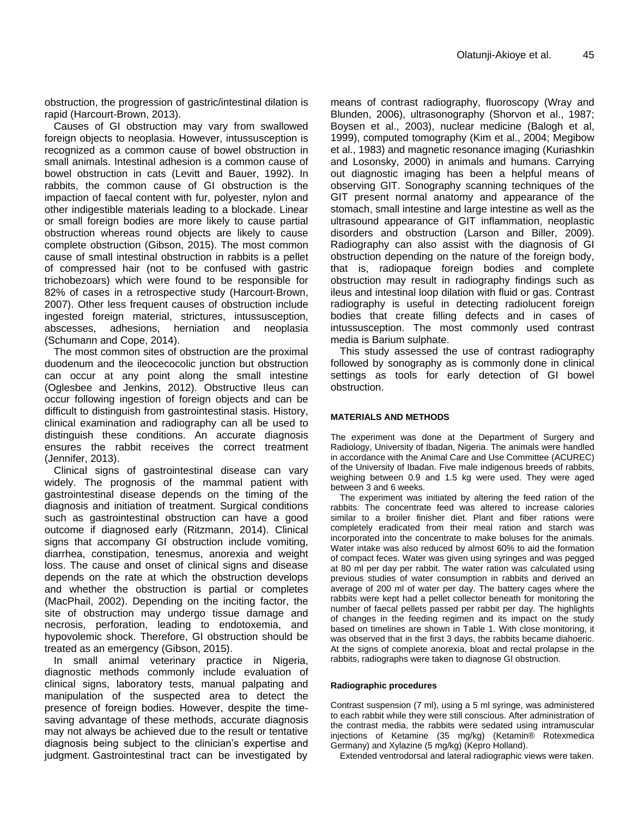obstruction, the progression of gastric/intestinal dilation is rapid (Harcourt‐Brown, 2013).

Causes of GI obstruction may vary from swallowed foreign objects to neoplasia. However, intussusception is recognized as a common cause of bowel obstruction in small animals. Intestinal adhesion is a common cause of bowel obstruction in cats (Levitt and Bauer, 1992). In rabbits, the common cause of GI obstruction is the impaction of faecal content with fur, polyester, nylon and other indigestible materials leading to a blockade. Linear or small foreign bodies are more likely to cause partial obstruction whereas round objects are likely to cause complete obstruction (Gibson, 2015). The most common cause of small intestinal obstruction in rabbits is a pellet of compressed hair (not to be confused with gastric trichobezoars) which were found to be responsible for 82% of cases in a retrospective study (Harcourt‐Brown, 2007). Other less frequent causes of obstruction include ingested foreign material, strictures, intussusception, abscesses, adhesions, herniation and neoplasia (Schumann and Cope, 2014).

The most common sites of obstruction are the proximal duodenum and the ileocecocolic junction but obstruction can occur at any point along the small intestine (Oglesbee and Jenkins, 2012). Obstructive Ileus can occur following ingestion of foreign objects and can be difficult to distinguish from gastrointestinal stasis. History, clinical examination and radiography can all be used to distinguish these conditions. An accurate diagnosis ensures the rabbit receives the correct treatment (Jennifer, 2013).

Clinical signs of gastrointestinal disease can vary widely. The prognosis of the mammal patient with gastrointestinal disease depends on the timing of the diagnosis and initiation of treatment. Surgical conditions such as gastrointestinal obstruction can have a good outcome if diagnosed early (Ritzmann, 2014). Clinical signs that accompany GI obstruction include vomiting, diarrhea, constipation, tenesmus, anorexia and weight loss. The cause and onset of clinical signs and disease depends on the rate at which the obstruction develops and whether the obstruction is partial or completes (MacPhail, 2002). Depending on the inciting factor, the site of obstruction may undergo tissue damage and necrosis, perforation, leading to endotoxemia, and hypovolemic shock. Therefore, GI obstruction should be treated as an emergency (Gibson, 2015).

In small animal veterinary practice in Nigeria, diagnostic methods commonly include evaluation of clinical signs, laboratory tests, manual palpating and manipulation of the suspected area to detect the presence of foreign bodies. However, despite the timesaving advantage of these methods, accurate diagnosis may not always be achieved due to the result or tentative diagnosis being subject to the clinician's expertise and judgment. Gastrointestinal tract can be investigated by means of contrast radiography, fluoroscopy (Wray and Blunden, 2006), ultrasonography (Shorvon et al., 1987; Boysen et al., 2003), nuclear medicine (Balogh et al, 1999), computed tomography (Kim et al., 2004; Megibow et al., 1983) and magnetic resonance imaging (Kuriashkin and Losonsky, 2000) in animals and humans. Carrying out diagnostic imaging has been a helpful means of observing GIT. Sonography scanning techniques of the GIT present normal anatomy and appearance of the stomach, small intestine and large intestine as well as the ultrasound appearance of GIT inflammation, neoplastic disorders and obstruction (Larson and Biller, 2009). Radiography can also assist with the diagnosis of GI obstruction depending on the nature of the foreign body, that is, radiopaque foreign bodies and complete obstruction may result in radiography findings such as ileus and intestinal loop dilation with fluid or gas. Contrast radiography is useful in detecting radiolucent foreign bodies that create filling defects and in cases of intussusception. The most commonly used contrast media is Barium sulphate.

This study assessed the use of contrast radiography followed by sonography as is commonly done in clinical settings as tools for early detection of GI bowel obstruction.

#### **MATERIALS AND METHODS**

The experiment was done at the Department of Surgery and Radiology, University of Ibadan, Nigeria. The animals were handled in accordance with the Animal Care and Use Committee (ACUREC) of the University of Ibadan. Five male indigenous breeds of rabbits, weighing between 0.9 and 1.5 kg were used. They were aged between 3 and 6 weeks.

The experiment was initiated by altering the feed ration of the rabbits. The concentrate feed was altered to increase calories similar to a broiler finisher diet. Plant and fiber rations were completely eradicated from their meal ration and starch was incorporated into the concentrate to make boluses for the animals. Water intake was also reduced by almost 60% to aid the formation of compact feces. Water was given using syringes and was pegged at 80 ml per day per rabbit. The water ration was calculated using previous studies of water consumption in rabbits and derived an average of 200 ml of water per day. The battery cages where the rabbits were kept had a pellet collector beneath for monitoring the number of faecal pellets passed per rabbit per day. The highlights of changes in the feeding regimen and its impact on the study based on timelines are shown in Table 1. With close monitoring, it was observed that in the first 3 days, the rabbits became diahoeric. At the signs of complete anorexia, bloat and rectal prolapse in the rabbits, radiographs were taken to diagnose GI obstruction.

#### **Radiographic procedures**

Contrast suspension (7 ml), using a 5 ml syringe, was administered to each rabbit while they were still conscious. After administration of the contrast media, the rabbits were sedated using intramuscular injections of Ketamine (35 mg/kg) (Ketamin® Rotexmedica Germany) and Xylazine (5 mg/kg) (Kepro Holland).

Extended ventrodorsal and lateral radiographic views were taken.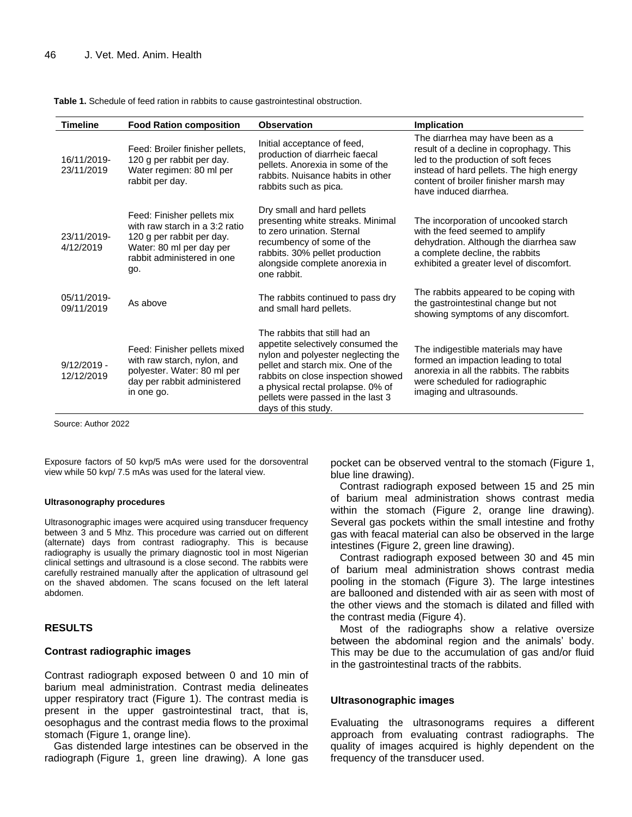| <b>Timeline</b>             | <b>Food Ration composition</b>                                                                                                                             | <b>Observation</b>                                                                                                                                                                                                                                                                   | Implication                                                                                                                                                                                                                      |
|-----------------------------|------------------------------------------------------------------------------------------------------------------------------------------------------------|--------------------------------------------------------------------------------------------------------------------------------------------------------------------------------------------------------------------------------------------------------------------------------------|----------------------------------------------------------------------------------------------------------------------------------------------------------------------------------------------------------------------------------|
| 16/11/2019-<br>23/11/2019   | Feed: Broiler finisher pellets,<br>120 g per rabbit per day.<br>Water regimen: 80 ml per<br>rabbit per day.                                                | Initial acceptance of feed,<br>production of diarrheic faecal<br>pellets. Anorexia in some of the<br>rabbits. Nuisance habits in other<br>rabbits such as pica.                                                                                                                      | The diarrhea may have been as a<br>result of a decline in coprophagy. This<br>led to the production of soft feces<br>instead of hard pellets. The high energy<br>content of broiler finisher marsh may<br>have induced diarrhea. |
| 23/11/2019-<br>4/12/2019    | Feed: Finisher pellets mix<br>with raw starch in a 3:2 ratio<br>120 g per rabbit per day.<br>Water: 80 ml per day per<br>rabbit administered in one<br>go. | Dry small and hard pellets<br>presenting white streaks. Minimal<br>to zero urination. Sternal<br>recumbency of some of the<br>rabbits. 30% pellet production<br>alongside complete anorexia in<br>one rabbit.                                                                        | The incorporation of uncooked starch<br>with the feed seemed to amplify<br>dehydration. Although the diarrhea saw<br>a complete decline, the rabbits<br>exhibited a greater level of discomfort.                                 |
| 05/11/2019-<br>09/11/2019   | As above                                                                                                                                                   | The rabbits continued to pass dry<br>and small hard pellets.                                                                                                                                                                                                                         | The rabbits appeared to be coping with<br>the gastrointestinal change but not<br>showing symptoms of any discomfort.                                                                                                             |
| $9/12/2019 -$<br>12/12/2019 | Feed: Finisher pellets mixed<br>with raw starch, nylon, and<br>polyester. Water: 80 ml per<br>day per rabbit administered<br>in one go.                    | The rabbits that still had an<br>appetite selectively consumed the<br>nylon and polyester neglecting the<br>pellet and starch mix. One of the<br>rabbits on close inspection showed<br>a physical rectal prolapse. 0% of<br>pellets were passed in the last 3<br>days of this study. | The indigestible materials may have<br>formed an impaction leading to total<br>anorexia in all the rabbits. The rabbits<br>were scheduled for radiographic<br>imaging and ultrasounds.                                           |

**Table 1.** Schedule of feed ration in rabbits to cause gastrointestinal obstruction.

Source: Author 2022

Exposure factors of 50 kvp/5 mAs were used for the dorsoventral view while 50 kvp/ 7.5 mAs was used for the lateral view.

#### **Ultrasonography procedures**

Ultrasonographic images were acquired using transducer frequency between 3 and 5 Mhz. This procedure was carried out on different (alternate) days from contrast radiography. This is because radiography is usually the primary diagnostic tool in most Nigerian clinical settings and ultrasound is a close second. The rabbits were carefully restrained manually after the application of ultrasound gel on the shaved abdomen. The scans focused on the left lateral abdomen.

## **RESULTS**

## **Contrast radiographic images**

Contrast radiograph exposed between 0 and 10 min of barium meal administration. Contrast media delineates upper respiratory tract (Figure 1). The contrast media is present in the upper gastrointestinal tract, that is, oesophagus and the contrast media flows to the proximal stomach (Figure 1, orange line).

Gas distended large intestines can be observed in the radiograph (Figure 1, green line drawing). A lone gas pocket can be observed ventral to the stomach (Figure 1, blue line drawing).

Contrast radiograph exposed between 15 and 25 min of barium meal administration shows contrast media within the stomach (Figure 2, orange line drawing). Several gas pockets within the small intestine and frothy gas with feacal material can also be observed in the large intestines (Figure 2, green line drawing).

Contrast radiograph exposed between 30 and 45 min of barium meal administration shows contrast media pooling in the stomach (Figure 3). The large intestines are ballooned and distended with air as seen with most of the other views and the stomach is dilated and filled with the contrast media (Figure 4).

Most of the radiographs show a relative oversize between the abdominal region and the animals' body. This may be due to the accumulation of gas and/or fluid in the gastrointestinal tracts of the rabbits.

#### **Ultrasonographic images**

Evaluating the ultrasonograms requires a different approach from evaluating contrast radiographs. The quality of images acquired is highly dependent on the frequency of the transducer used.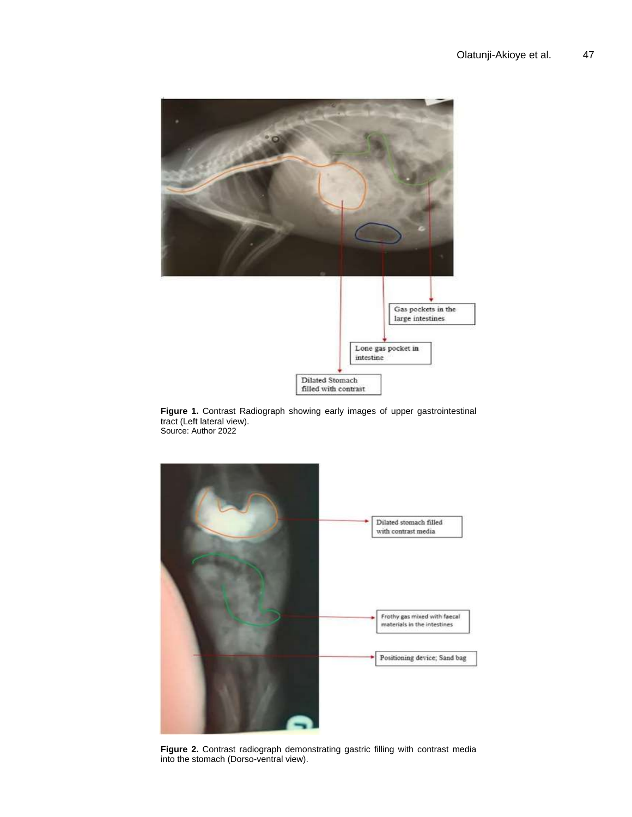

**Figure 1.** Contrast Radiograph showing early images of upper gastrointestinal tract (Left lateral view). Source: Author 2022



**Figure 2.** Contrast radiograph demonstrating gastric filling with contrast media into the stomach (Dorso-ventral view).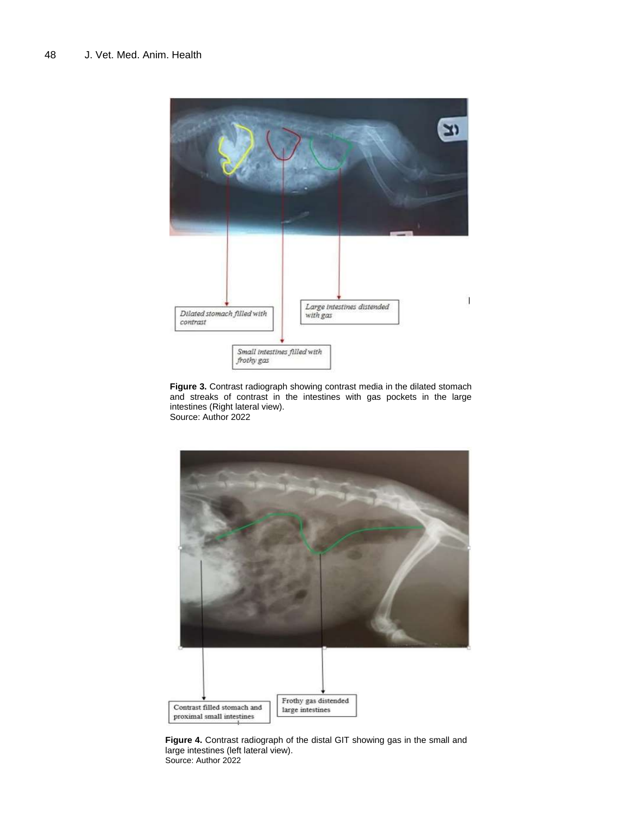

**Figure 3.** Contrast radiograph showing contrast media in the dilated stomach and streaks of contrast in the intestines with gas pockets in the large intestines (Right lateral view). Source: Author 2022



**Figure 4.** Contrast radiograph of the distal GIT showing gas in the small and large intestines (left lateral view). Source: Author 2022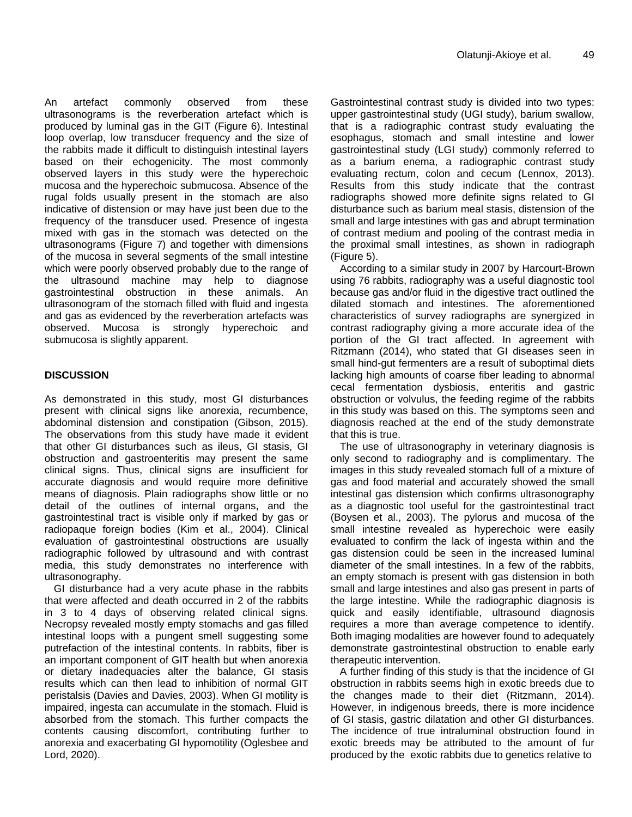An artefact commonly observed from these ultrasonograms is the reverberation artefact which is produced by luminal gas in the GIT (Figure 6). Intestinal loop overlap, low transducer frequency and the size of the rabbits made it difficult to distinguish intestinal layers based on their echogenicity. The most commonly observed layers in this study were the hyperechoic mucosa and the hyperechoic submucosa. Absence of the rugal folds usually present in the stomach are also indicative of distension or may have just been due to the frequency of the transducer used. Presence of ingesta mixed with gas in the stomach was detected on the ultrasonograms (Figure 7) and together with dimensions of the mucosa in several segments of the small intestine which were poorly observed probably due to the range of the ultrasound machine may help to diagnose gastrointestinal obstruction in these animals. An ultrasonogram of the stomach filled with fluid and ingesta and gas as evidenced by the reverberation artefacts was observed. Mucosa is strongly hyperechoic and submucosa is slightly apparent.

## **DISCUSSION**

As demonstrated in this study, most GI disturbances present with clinical signs like anorexia, recumbence, abdominal distension and constipation (Gibson, 2015). The observations from this study have made it evident that other GI disturbances such as ileus, GI stasis, GI obstruction and gastroenteritis may present the same clinical signs. Thus, clinical signs are insufficient for accurate diagnosis and would require more definitive means of diagnosis. Plain radiographs show little or no detail of the outlines of internal organs, and the gastrointestinal tract is visible only if marked by gas or radiopaque foreign bodies (Kim et al., 2004). Clinical evaluation of gastrointestinal obstructions are usually radiographic followed by ultrasound and with contrast media, this study demonstrates no interference with ultrasonography.

GI disturbance had a very acute phase in the rabbits that were affected and death occurred in 2 of the rabbits in 3 to 4 days of observing related clinical signs. Necropsy revealed mostly empty stomachs and gas filled intestinal loops with a pungent smell suggesting some putrefaction of the intestinal contents. In rabbits, fiber is an important component of GIT health but when anorexia or dietary inadequacies alter the balance, GI stasis results which can then lead to inhibition of normal GIT peristalsis (Davies and Davies, 2003). When GI motility is impaired, ingesta can accumulate in the stomach. Fluid is absorbed from the stomach. This further compacts the contents causing discomfort, contributing further to anorexia and exacerbating GI hypomotility (Oglesbee and Lord, 2020).

Gastrointestinal contrast study is divided into two types: upper gastrointestinal study (UGI study), barium swallow, that is a radiographic contrast study evaluating the esophagus, stomach and small intestine and lower gastrointestinal study (LGI study) commonly referred to as a barium enema, a radiographic contrast study evaluating rectum, colon and cecum (Lennox, 2013). Results from this study indicate that the contrast radiographs showed more definite signs related to GI disturbance such as barium meal stasis, distension of the small and large intestines with gas and abrupt termination of contrast medium and pooling of the contrast media in the proximal small intestines, as shown in radiograph (Figure 5).

According to a similar study in 2007 by Harcourt-Brown using 76 rabbits, radiography was a useful diagnostic tool because gas and/or fluid in the digestive tract outlined the dilated stomach and intestines. The aforementioned characteristics of survey radiographs are synergized in contrast radiography giving a more accurate idea of the portion of the GI tract affected. In agreement with Ritzmann (2014), who stated that GI diseases seen in small hind-gut fermenters are a result of suboptimal diets lacking high amounts of coarse fiber leading to abnormal cecal fermentation dysbiosis, enteritis and gastric obstruction or volvulus, the feeding regime of the rabbits in this study was based on this. The symptoms seen and diagnosis reached at the end of the study demonstrate that this is true.

The use of ultrasonography in veterinary diagnosis is only second to radiography and is complimentary. The images in this study revealed stomach full of a mixture of gas and food material and accurately showed the small intestinal gas distension which confirms ultrasonography as a diagnostic tool useful for the gastrointestinal tract (Boysen et al., 2003). The pylorus and mucosa of the small intestine revealed as hyperechoic were easily evaluated to confirm the lack of ingesta within and the gas distension could be seen in the increased luminal diameter of the small intestines. In a few of the rabbits, an empty stomach is present with gas distension in both small and large intestines and also gas present in parts of the large intestine. While the radiographic diagnosis is quick and easily identifiable, ultrasound diagnosis requires a more than average competence to identify. Both imaging modalities are however found to adequately demonstrate gastrointestinal obstruction to enable early therapeutic intervention.

A further finding of this study is that the incidence of GI obstruction in rabbits seems high in exotic breeds due to the changes made to their diet (Ritzmann, 2014). However, in indigenous breeds, there is more incidence of GI stasis, gastric dilatation and other GI disturbances. The incidence of true intraluminal obstruction found in exotic breeds may be attributed to the amount of fur produced by the exotic rabbits due to genetics relative to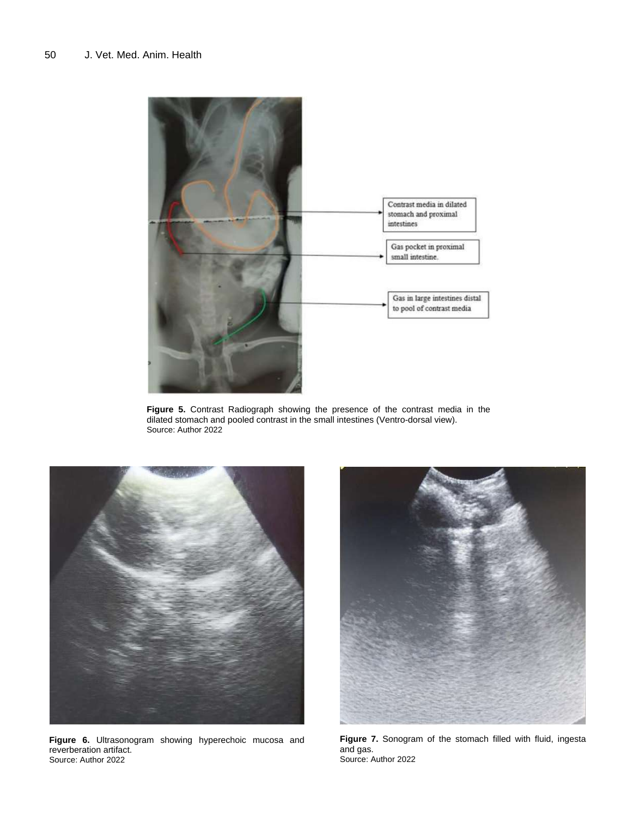

**Figure 5.** Contrast Radiograph showing the presence of the contrast media in the dilated stomach and pooled contrast in the small intestines (Ventro-dorsal view). Source: Author 2022



**Figure 6.** Ultrasonogram showing hyperechoic mucosa and reverberation artifact. Source: Author 2022



**Figure 7.** Sonogram of the stomach filled with fluid, ingesta and gas. Source: Author 2022